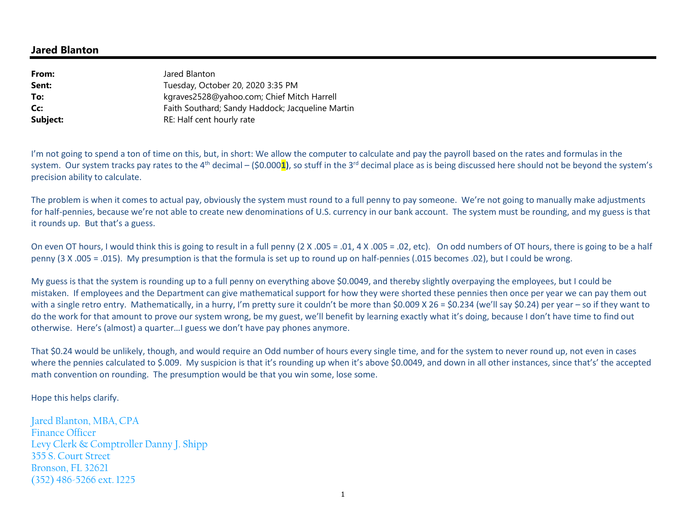## **Jared Blanton**

| Jared Blanton                                    |
|--------------------------------------------------|
| Tuesday, October 20, 2020 3:35 PM                |
| kgraves2528@yahoo.com; Chief Mitch Harrell       |
| Faith Southard; Sandy Haddock; Jacqueline Martin |
| RE: Half cent hourly rate                        |
|                                                  |

I'm not going to spend a ton of time on this, but, in short: We allow the computer to calculate and pay the payroll based on the rates and formulas in the system. Our system tracks pay rates to the 4<sup>th</sup> decimal – (\$0.000<mark>1</mark>), so stuff in the 3<sup>rd</sup> decimal place as is being discussed here should not be beyond the system's precision ability to calculate.

The problem is when it comes to actual pay, obviously the system must round to a full penny to pay someone. We're not going to manually make adjustments for half-pennies, because we're not able to create new denominations of U.S. currency in our bank account. The system must be rounding, and my guess is that it rounds up. But that's a guess.

On even OT hours, I would think this is going to result in a full penny (2 X .005 = .01, 4 X .005 = .02, etc). On odd numbers of OT hours, there is going to be a half penny (3 X .005 = .015). My presumption is that the formula is set up to round up on half-pennies (.015 becomes .02), but I could be wrong.

My guess is that the system is rounding up to a full penny on everything above \$0.0049, and thereby slightly overpaying the employees, but I could be mistaken. If employees and the Department can give mathematical support for how they were shorted these pennies then once per year we can pay them out with a single retro entry. Mathematically, in a hurry, I'm pretty sure it couldn't be more than \$0.009 X 26 = \$0.234 (we'll say \$0.24) per year – so if they want to do the work for that amount to prove our system wrong, be my guest, we'll benefit by learning exactly what it's doing, because I don't have time to find out otherwise. Here's (almost) a quarter…I guess we don't have pay phones anymore.

That \$0.24 would be unlikely, though, and would require an Odd number of hours every single time, and for the system to never round up, not even in caseswhere the pennies calculated to \$.009. My suspicion is that it's rounding up when it's above \$0.0049, and down in all other instances, since that's' the accepted math convention on rounding. The presumption would be that you win some, lose some.

Hope this helps clarify.

Jared Blanton, MBA, CPA Finance Officer Levy Clerk & Comptroller Danny J. Shipp 355 S. Court Street Bronson, FL 32621 (352) 486-5266 ext. 1225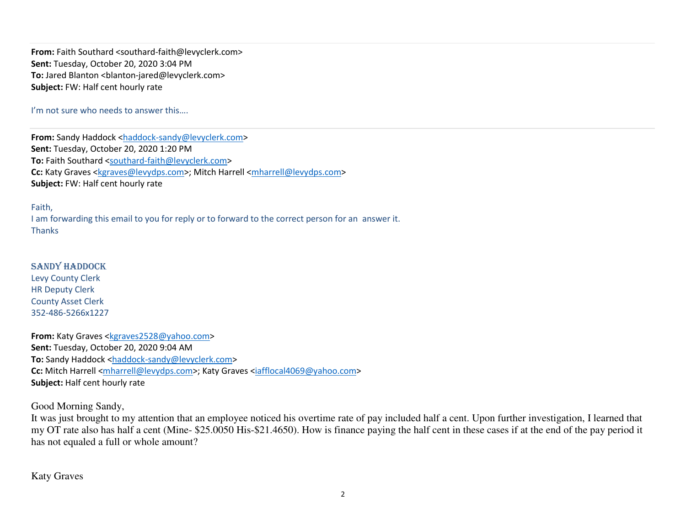**From:** Faith Southard <southard-faith@levyclerk.com> **Sent:** Tuesday, October 20, 2020 3:04 PM **To:** Jared Blanton <blanton-jared@levyclerk.com> **Subject:** FW: Half cent hourly rate

I'm not sure who needs to answer this....

**From:** Sandy Haddock <haddock-sandy@levyclerk.com> **Sent:** Tuesday, October 20, 2020 1:20 PM **To:** Faith Southard <southard-faith@levyclerk.com> **Cc:** Katy Graves <kgraves@levydps.com>; Mitch Harrell <mharrell@levydps.com> **Subject:** FW: Half cent hourly rate

Faith,

I am forwarding this email to you for reply or to forward to the correct person for an answer it. **Thanks** 

SANDY HADDOCK Levy County Clerk HR Deputy Clerk

County Asset Clerk

352-486-5266x1227 **From:** Katy Graves <kgraves2528@yahoo.com> **Sent:** Tuesday, October 20, 2020 9:04 AM **To:** Sandy Haddock <haddock-sandy@levyclerk.com> **Cc:** Mitch Harrell <mharrell@levydps.com>; Katy Graves <iafflocal4069@yahoo.com>

**Subject:** Half cent hourly rate

Good Morning Sandy,

 It was just brought to my attention that an employee noticed his overtime rate of pay included half a cent. Upon further investigation, I learned that my OT rate also has half a cent (Mine- \$25.0050 His-\$21.4650). How is finance paying the half cent in these cases if at the end of the pay period it has not equaled a full or whole amount?

Katy Graves